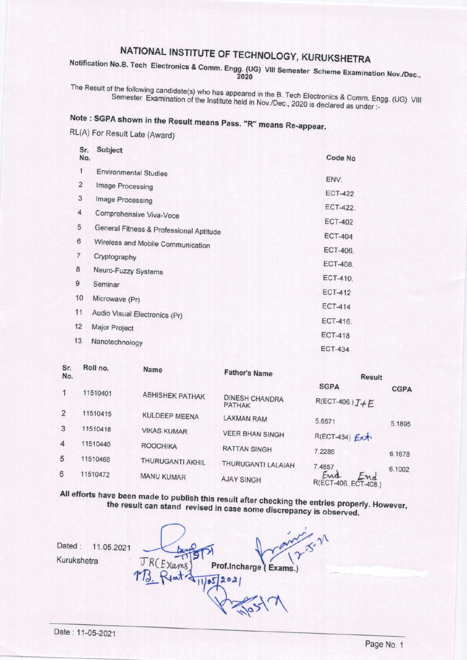## NATIONAL INSTITUTE OF TECHNOLOGY, KURUKSHETRA

Notification No.B. Tech Electronics & Comm. Engg. (UG) VIII Semester Scheme Examination Nov./Dec.,

The Result of the following candidate(s) who has appeared in the B. Tech Electronics & Comm. Engg. (UG) VIII Semester Examination of the Institute held in Nov./Dec., 2020 is declared as under :-

Note: SGPA shown in the Result means Pass. "R" means Re-appear.

RL(A) For Result Late (Award)

| Sr.<br>No.              | Subject                                 | Code No        |
|-------------------------|-----------------------------------------|----------------|
| 1                       | <b>Environmental Studies</b>            |                |
| $\overline{\mathbf{c}}$ | Image Processing                        | ENV.           |
| 3                       | Image Processing                        | <b>ECT-422</b> |
| 4                       | Comprehensive Viva-Voce                 | ECT-422.       |
| 5                       |                                         | <b>ECT-402</b> |
| 6                       | General Fitness & Professional Aptitude | <b>ECT-404</b> |
|                         | Wireless and Mobile Communication       | ECT-406.       |
| $\overline{7}$          | Cryptography                            | ECT-408.       |
| 8                       | Neuro-Fuzzy Systems                     | ECT-410.       |
| 9                       | Seminar                                 | <b>ECT-412</b> |
| 10                      | Microwave (Pr)                          |                |
| 11                      | Audio Visual Electronics (Pr)           | <b>ECT-414</b> |
| 12                      | Major Project                           | ECT-416.       |
| 13                      | Nanotechnology                          | <b>ECT-418</b> |
|                         |                                         | <b>ECT-434</b> |

| No. |          | <b>Name</b>             | <b>Father's Name</b>                   | <b>Result</b>                          |             |
|-----|----------|-------------------------|----------------------------------------|----------------------------------------|-------------|
|     | 11510401 |                         |                                        | <b>SGPA</b>                            | <b>CGPA</b> |
|     |          | <b>ABHISHEK PATHAK</b>  | <b>DINESH CHANDRA</b><br><b>PATHAK</b> | $R(ECT-406.)$ $I+E$                    |             |
| 2   | 11510415 | <b>KULDEEP MEENA</b>    | <b>LAXMAN RAM</b>                      | 5.6571                                 | 5.1895      |
| 3   | 11510418 | <b>VIKAS KUMAR</b>      | <b>VEER BHAN SINGH</b>                 | R(ECT-434) Ext                         |             |
| 4   | 11510440 | <b>ROOCHIKA</b>         | <b>RATTAN SINGH</b>                    | 7.2286                                 | 6.1678      |
| 5   | 11510468 | <b>THURUGANTI AKHIL</b> | THURUGANTI LALAIAH                     | 7.4857                                 |             |
| 6   | 11510472 | <b>MANU KUMAR</b>       | <b>AJAY SINGH</b>                      | End<br>End End<br>R(ECT-406. ECT-408.) | 6.1002      |

All efforts have been made to publish this result after checking the entries properly. However, the result can stand revised in case some discrepancy is observed.

 $x^{x^{\gamma}}$ Dated: 11.05.2021 Kurukshetra JR(Exams) Prof.Incharge (Exams.)

Roll no

 $\mathbf{r}$ 

 $S_{r}$